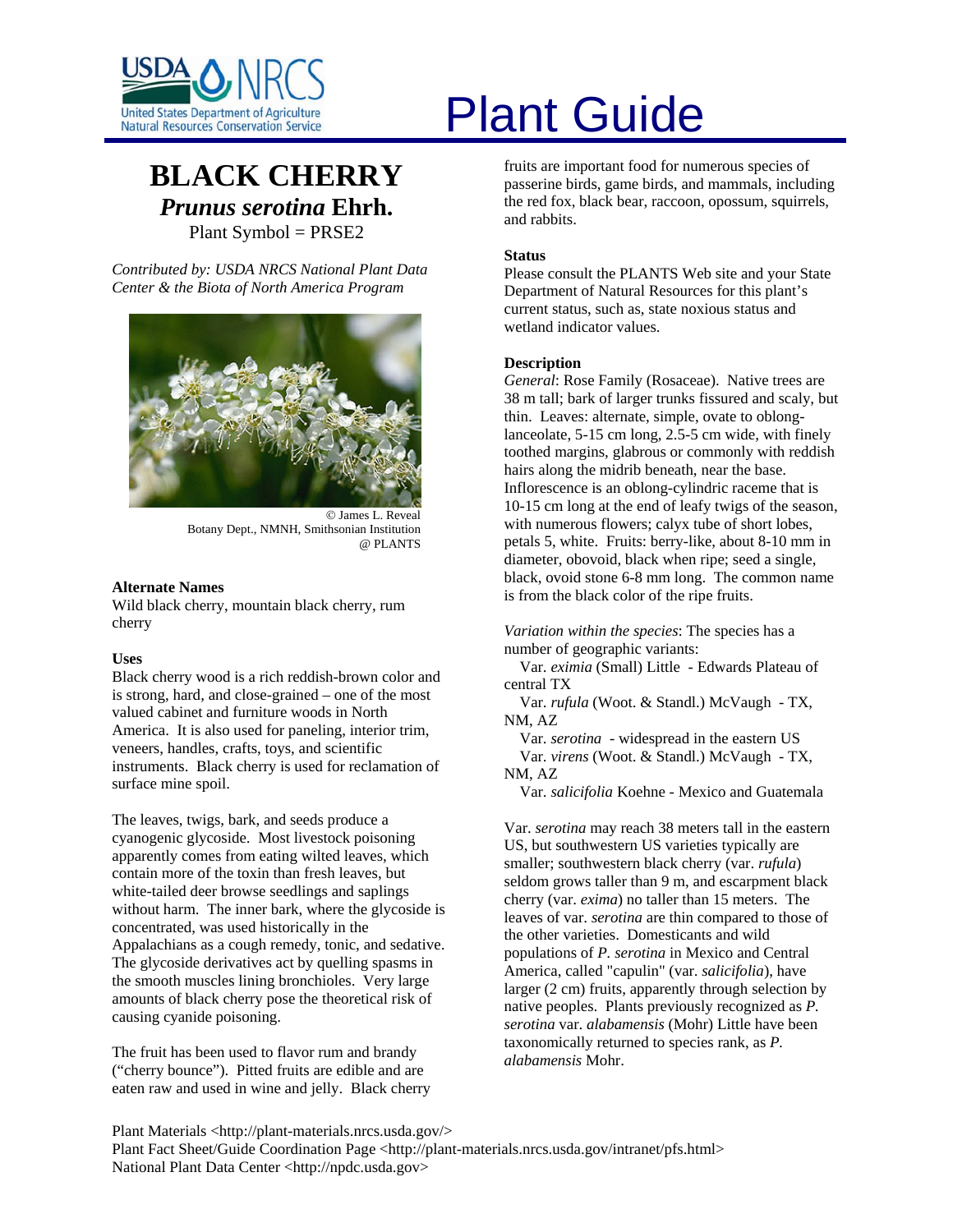

# **BLACK CHERRY** *Prunus serotina* **Ehrh.**  Plant Symbol = PRSE2

*Contributed by: USDA NRCS National Plant Data Center & the Biota of North America Program* 



© James L. Reveal Botany Dept., NMNH, Smithsonian Institution @ PLANTS

# **Alternate Names**

Wild black cherry, mountain black cherry, rum cherry

# **Uses**

Black cherry wood is a rich reddish-brown color and is strong, hard, and close-grained – one of the most valued cabinet and furniture woods in North America. It is also used for paneling, interior trim, veneers, handles, crafts, toys, and scientific instruments. Black cherry is used for reclamation of surface mine spoil.

The leaves, twigs, bark, and seeds produce a cyanogenic glycoside. Most livestock poisoning apparently comes from eating wilted leaves, which contain more of the toxin than fresh leaves, but white-tailed deer browse seedlings and saplings without harm. The inner bark, where the glycoside is concentrated, was used historically in the Appalachians as a cough remedy, tonic, and sedative. The glycoside derivatives act by quelling spasms in the smooth muscles lining bronchioles. Very large amounts of black cherry pose the theoretical risk of causing cyanide poisoning.

The fruit has been used to flavor rum and brandy ("cherry bounce"). Pitted fruits are edible and are eaten raw and used in wine and jelly. Black cherry

# United States Department of Agriculture<br>Natural Resources Conservation Service

fruits are important food for numerous species of passerine birds, game birds, and mammals, including the red fox, black bear, raccoon, opossum, squirrels, and rabbits.

# **Status**

Please consult the PLANTS Web site and your State Department of Natural Resources for this plant's current status, such as, state noxious status and wetland indicator values.

# **Description**

*General*: Rose Family (Rosaceae). Native trees are 38 m tall; bark of larger trunks fissured and scaly, but thin. Leaves: alternate, simple, ovate to oblonglanceolate, 5-15 cm long, 2.5-5 cm wide, with finely toothed margins, glabrous or commonly with reddish hairs along the midrib beneath, near the base. Inflorescence is an oblong-cylindric raceme that is 10-15 cm long at the end of leafy twigs of the season, with numerous flowers; calyx tube of short lobes, petals 5, white. Fruits: berry-like, about 8-10 mm in diameter, obovoid, black when ripe; seed a single, black, ovoid stone 6-8 mm long. The common name is from the black color of the ripe fruits.

*Variation within the species*: The species has a number of geographic variants:

 Var. *eximia* (Small) Little - Edwards Plateau of central TX

 Var. *rufula* (Woot. & Standl.) McVaugh - TX, NM, AZ

 Var. *serotina* - widespread in the eastern US Var. *virens* (Woot. & Standl.) McVaugh - TX, NM, AZ

Var. *salicifolia* Koehne - Mexico and Guatemala

Var. *serotina* may reach 38 meters tall in the eastern US, but southwestern US varieties typically are smaller; southwestern black cherry (var. *rufula*) seldom grows taller than 9 m, and escarpment black cherry (var. *exima*) no taller than 15 meters. The leaves of var. *serotina* are thin compared to those of the other varieties. Domesticants and wild populations of *P. serotina* in Mexico and Central America, called "capulin" (var. *salicifolia*), have larger (2 cm) fruits, apparently through selection by native peoples. Plants previously recognized as *P. serotina* var. *alabamensis* (Mohr) Little have been taxonomically returned to species rank, as *P. alabamensis* Mohr.

Plant Materials <http://plant-materials.nrcs.usda.gov/> Plant Fact Sheet/Guide Coordination Page <http://plant-materials.nrcs.usda.gov/intranet/pfs.html> National Plant Data Center <http://npdc.usda.gov>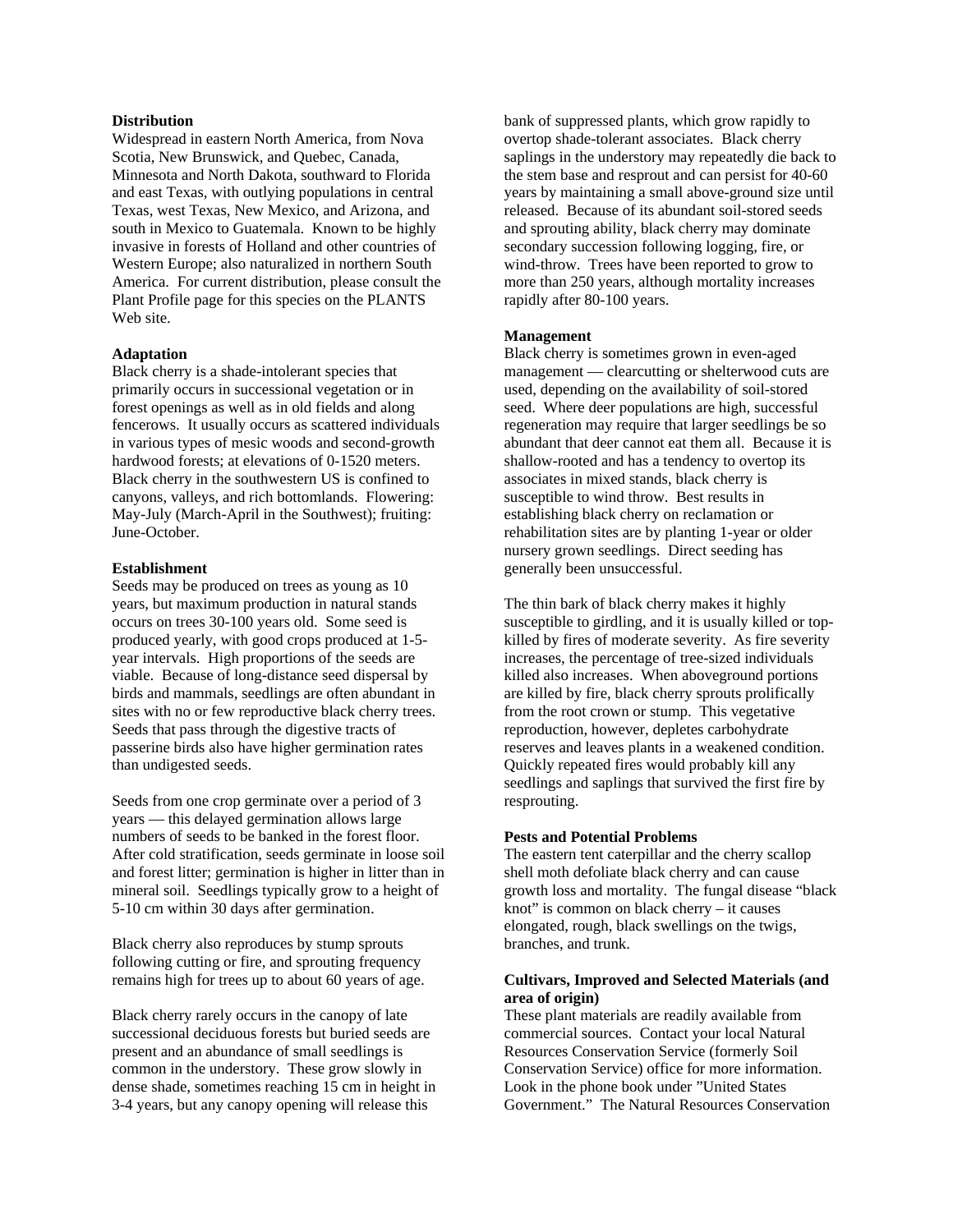# **Distribution**

Widespread in eastern North America, from Nova Scotia, New Brunswick, and Quebec, Canada, Minnesota and North Dakota, southward to Florida and east Texas, with outlying populations in central Texas, west Texas, New Mexico, and Arizona, and south in Mexico to Guatemala. Known to be highly invasive in forests of Holland and other countries of Western Europe; also naturalized in northern South America. For current distribution, please consult the Plant Profile page for this species on the PLANTS Web site.

# **Adaptation**

Black cherry is a shade-intolerant species that primarily occurs in successional vegetation or in forest openings as well as in old fields and along fencerows. It usually occurs as scattered individuals in various types of mesic woods and second-growth hardwood forests; at elevations of 0-1520 meters. Black cherry in the southwestern US is confined to canyons, valleys, and rich bottomlands. Flowering: May-July (March-April in the Southwest); fruiting: June-October.

#### **Establishment**

Seeds may be produced on trees as young as 10 years, but maximum production in natural stands occurs on trees 30-100 years old. Some seed is produced yearly, with good crops produced at 1-5 year intervals. High proportions of the seeds are viable. Because of long-distance seed dispersal by birds and mammals, seedlings are often abundant in sites with no or few reproductive black cherry trees. Seeds that pass through the digestive tracts of passerine birds also have higher germination rates than undigested seeds.

Seeds from one crop germinate over a period of 3 years –– this delayed germination allows large numbers of seeds to be banked in the forest floor. After cold stratification, seeds germinate in loose soil and forest litter; germination is higher in litter than in mineral soil. Seedlings typically grow to a height of 5-10 cm within 30 days after germination.

Black cherry also reproduces by stump sprouts following cutting or fire, and sprouting frequency remains high for trees up to about 60 years of age.

Black cherry rarely occurs in the canopy of late successional deciduous forests but buried seeds are present and an abundance of small seedlings is common in the understory. These grow slowly in dense shade, sometimes reaching 15 cm in height in 3-4 years, but any canopy opening will release this

bank of suppressed plants, which grow rapidly to overtop shade-tolerant associates. Black cherry saplings in the understory may repeatedly die back to the stem base and resprout and can persist for 40-60 years by maintaining a small above-ground size until released. Because of its abundant soil-stored seeds and sprouting ability, black cherry may dominate secondary succession following logging, fire, or wind-throw. Trees have been reported to grow to more than 250 years, although mortality increases rapidly after 80-100 years.

#### **Management**

Black cherry is sometimes grown in even-aged management — clearcutting or shelterwood cuts are used, depending on the availability of soil-stored seed. Where deer populations are high, successful regeneration may require that larger seedlings be so abundant that deer cannot eat them all. Because it is shallow-rooted and has a tendency to overtop its associates in mixed stands, black cherry is susceptible to wind throw. Best results in establishing black cherry on reclamation or rehabilitation sites are by planting 1-year or older nursery grown seedlings. Direct seeding has generally been unsuccessful.

The thin bark of black cherry makes it highly susceptible to girdling, and it is usually killed or topkilled by fires of moderate severity. As fire severity increases, the percentage of tree-sized individuals killed also increases. When aboveground portions are killed by fire, black cherry sprouts prolifically from the root crown or stump. This vegetative reproduction, however, depletes carbohydrate reserves and leaves plants in a weakened condition. Quickly repeated fires would probably kill any seedlings and saplings that survived the first fire by resprouting.

#### **Pests and Potential Problems**

The eastern tent caterpillar and the cherry scallop shell moth defoliate black cherry and can cause growth loss and mortality. The fungal disease "black knot" is common on black cherry – it causes elongated, rough, black swellings on the twigs, branches, and trunk.

# **Cultivars, Improved and Selected Materials (and area of origin)**

These plant materials are readily available from commercial sources. Contact your local Natural Resources Conservation Service (formerly Soil Conservation Service) office for more information. Look in the phone book under "United States Government." The Natural Resources Conservation